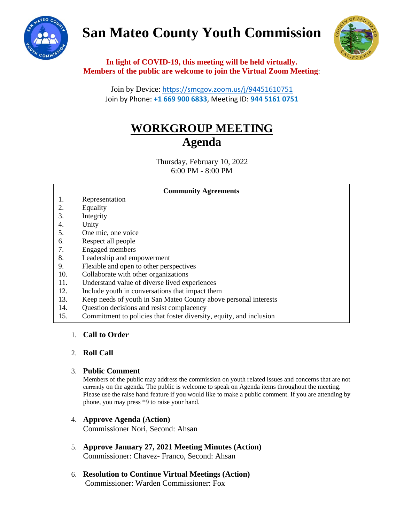# **San Mateo County Youth Commission**





**In light of COVID-19, this meeting will be held virtually. Members of the public are welcome to join the Virtual Zoom Meeting**:

Join by Device: <https://smcgov.zoom.us/j/94451610751> Join by Phone: **+1 669 900 6833**, Meeting ID: **944 5161 0751**

# **WORKGROUP MEETING Agenda**

Thursday, February 10, 2022 6:00 PM - 8:00 PM

### **Community Agreements**

- 1. Representation
- 2. Equality
- 3. Integrity
- 4. Unity
- 5. One mic, one voice
- 6. Respect all people
- 7. Engaged members
- 8. Leadership and empowerment
- 9. Flexible and open to other perspectives
- 10. Collaborate with other organizations
- 11. Understand value of diverse lived experiences
- 12. Include youth in conversations that impact them
- 13. Keep needs of youth in San Mateo County above personal interests
- 14. Question decisions and resist complacency
- 15. Commitment to policies that foster diversity, equity, and inclusion

# 1. **Call to Order**

# 2. **Roll Call**

# 3. **Public Comment**

Members of the public may address the commission on youth related issues and concerns that are not currently on the agenda. The public is welcome to speak on Agenda items throughout the meeting. Please use the raise hand feature if you would like to make a public comment. If you are attending by phone, you may press \*9 to raise your hand.

# 4. **Approve Agenda (Action)** Commissioner Nori, Second: Ahsan

- 5. **Approve January 27, 2021 Meeting Minutes (Action)** Commissioner: Chavez- Franco, Second: Ahsan
- 6. **Resolution to Continue Virtual Meetings (Action)** Commissioner: Warden Commissioner: Fox